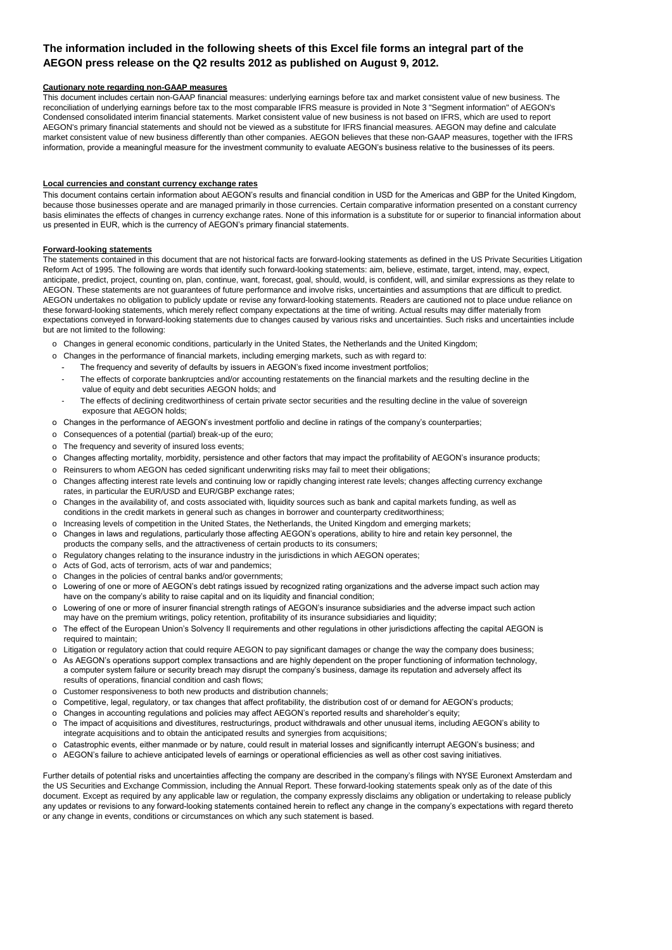## **The information included in the following sheets of this Excel file forms an integral part of the AEGON press release on the Q2 results 2012 as published on August 9, 2012.**

### **Cautionary note regarding non-GAAP measures**

This document includes certain non-GAAP financial measures: underlying earnings before tax and market consistent value of new business. The reconciliation of underlying earnings before tax to the most comparable IFRS measure is provided in Note 3 "Segment information" of AEGON's Condensed consolidated interim financial statements. Market consistent value of new business is not based on IFRS, which are used to report AEGON's primary financial statements and should not be viewed as a substitute for IFRS financial measures. AEGON may define and calculate market consistent value of new business differently than other companies. AEGON believes that these non-GAAP measures, together with the IFRS information, provide a meaningful measure for the investment community to evaluate AEGON's business relative to the businesses of its peers.

### **Local currencies and constant currency exchange rates**

This document contains certain information about AEGON's results and financial condition in USD for the Americas and GBP for the United Kingdom, because those businesses operate and are managed primarily in those currencies. Certain comparative information presented on a constant currency basis eliminates the effects of changes in currency exchange rates. None of this information is a substitute for or superior to financial information about us presented in EUR, which is the currency of AEGON's primary financial statements.

### **Forward-looking statements**

The statements contained in this document that are not historical facts are forward-looking statements as defined in the US Private Securities Litigation Reform Act of 1995. The following are words that identify such forward-looking statements: aim, believe, estimate, target, intend, may, expect, anticipate, predict, project, counting on, plan, continue, want, forecast, goal, should, would, is confident, will, and similar expressions as they relate to AEGON. These statements are not guarantees of future performance and involve risks, uncertainties and assumptions that are difficult to predict. AEGON undertakes no obligation to publicly update or revise any forward-looking statements. Readers are cautioned not to place undue reliance on these forward-looking statements, which merely reflect company expectations at the time of writing. Actual results may differ materially from expectations conveyed in forward-looking statements due to changes caused by various risks and uncertainties. Such risks and uncertainties include but are not limited to the following:

- o Changes in general economic conditions, particularly in the United States, the Netherlands and the United Kingdom;
- o Changes in the performance of financial markets, including emerging markets, such as with regard to:
- The frequency and severity of defaults by issuers in AEGON's fixed income investment portfolios;
- The effects of corporate bankruptcies and/or accounting restatements on the financial markets and the resulting decline in the value of equity and debt securities AEGON holds; and
- The effects of declining creditworthiness of certain private sector securities and the resulting decline in the value of sovereign exposure that AEGON holds;
- o Changes in the performance of AEGON's investment portfolio and decline in ratings of the company's counterparties;
- o Consequences of a potential (partial) break-up of the euro;
- o The frequency and severity of insured loss events;
- o Changes affecting mortality, morbidity, persistence and other factors that may impact the profitability of AEGON's insurance products;
- o Reinsurers to whom AEGON has ceded significant underwriting risks may fail to meet their obligations;
- o Changes affecting interest rate levels and continuing low or rapidly changing interest rate levels; changes affecting currency exchange rates, in particular the EUR/USD and EUR/GBP exchange rates;
- o Changes in the availability of, and costs associated with, liquidity sources such as bank and capital markets funding, as well as conditions in the credit markets in general such as changes in borrower and counterparty creditworthiness;
- o Increasing levels of competition in the United States, the Netherlands, the United Kingdom and emerging markets;
- o Changes in laws and regulations, particularly those affecting AEGON's operations, ability to hire and retain key personnel, the products the company sells, and the attractiveness of certain products to its consumers;
- o Regulatory changes relating to the insurance industry in the jurisdictions in which AEGON operates;
- o Acts of God, acts of terrorism, acts of war and pandemics;
- o Changes in the policies of central banks and/or governments;
- o Lowering of one or more of AEGON's debt ratings issued by recognized rating organizations and the adverse impact such action may have on the company's ability to raise capital and on its liquidity and financial condition;
- o Lowering of one or more of insurer financial strength ratings of AEGON's insurance subsidiaries and the adverse impact such action may have on the premium writings, policy retention, profitability of its insurance subsidiaries and liquidity;
- o The effect of the European Union's Solvency II requirements and other regulations in other jurisdictions affecting the capital AEGON is required to maintain;
- o Litigation or regulatory action that could require AEGON to pay significant damages or change the way the company does business;
- o As AEGON's operations support complex transactions and are highly dependent on the proper functioning of information technology, a computer system failure or security breach may disrupt the company's business, damage its reputation and adversely affect its results of operations, financial condition and cash flows;
- o Customer responsiveness to both new products and distribution channels;
- Competitive, legal, regulatory, or tax changes that affect profitability, the distribution cost of or demand for AEGON's products;
- o Changes in accounting regulations and policies may affect AEGON's reported results and shareholder's equity;
- o The impact of acquisitions and divestitures, restructurings, product withdrawals and other unusual items, including AEGON's ability to integrate acquisitions and to obtain the anticipated results and synergies from acquisitions;
- o Catastrophic events, either manmade or by nature, could result in material losses and significantly interrupt AEGON's business; and
- o AEGON's failure to achieve anticipated levels of earnings or operational efficiencies as well as other cost saving initiatives.

Further details of potential risks and uncertainties affecting the company are described in the company's filings with NYSE Euronext Amsterdam and the US Securities and Exchange Commission, including the Annual Report. These forward-looking statements speak only as of the date of this document. Except as required by any applicable law or regulation, the company expressly disclaims any obligation or undertaking to release publicly any updates or revisions to any forward-looking statements contained herein to reflect any change in the company's expectations with regard thereto or any change in events, conditions or circumstances on which any such statement is based.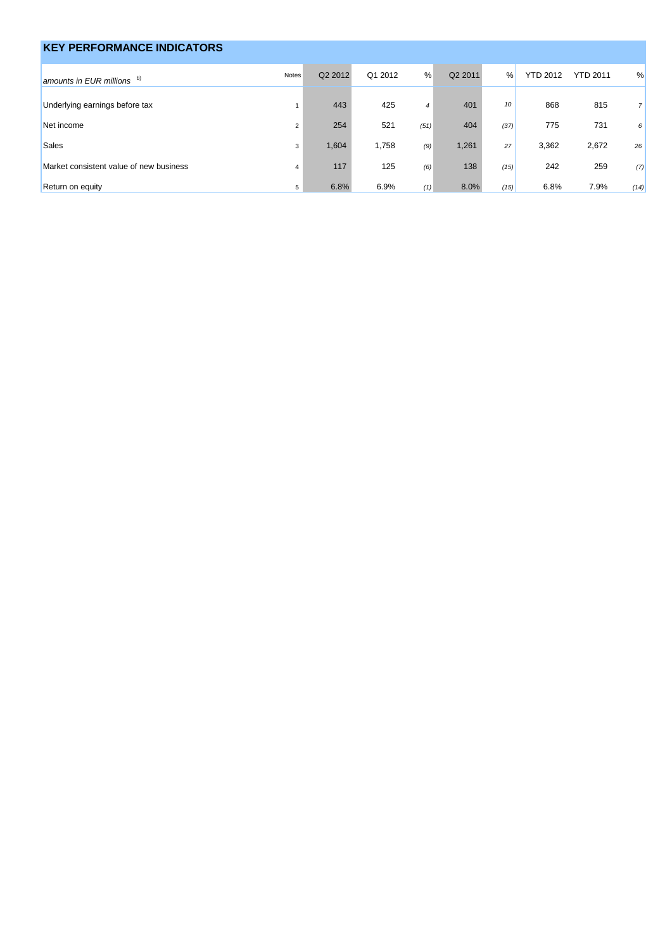| <b>KEY PERFORMANCE INDICATORS</b>       |                |         |         |                |         |               |                 |                 |      |
|-----------------------------------------|----------------|---------|---------|----------------|---------|---------------|-----------------|-----------------|------|
| b)<br>amounts in EUR millions           | <b>Notes</b>   | Q2 2012 | Q1 2012 | %              | Q2 2011 | $\frac{9}{6}$ | <b>YTD 2012</b> | <b>YTD 2011</b> | %    |
| Underlying earnings before tax          |                | 443     | 425     | $\overline{4}$ | 401     | 10            | 868             | 815             |      |
| Net income                              | $\overline{2}$ | 254     | 521     | (51)           | 404     | (37)          | 775             | 731             | 6    |
| <b>Sales</b>                            | 3              | 1,604   | 1,758   | (9)            | 1,261   | 27            | 3,362           | 2,672           | 26   |
| Market consistent value of new business | 4              | 117     | 125     | (6)            | 138     | (15)          | 242             | 259             | (7)  |
| Return on equity                        | 5              | 6.8%    | 6.9%    | (1)            | 8.0%    | (15)          | 6.8%            | 7.9%            | (14) |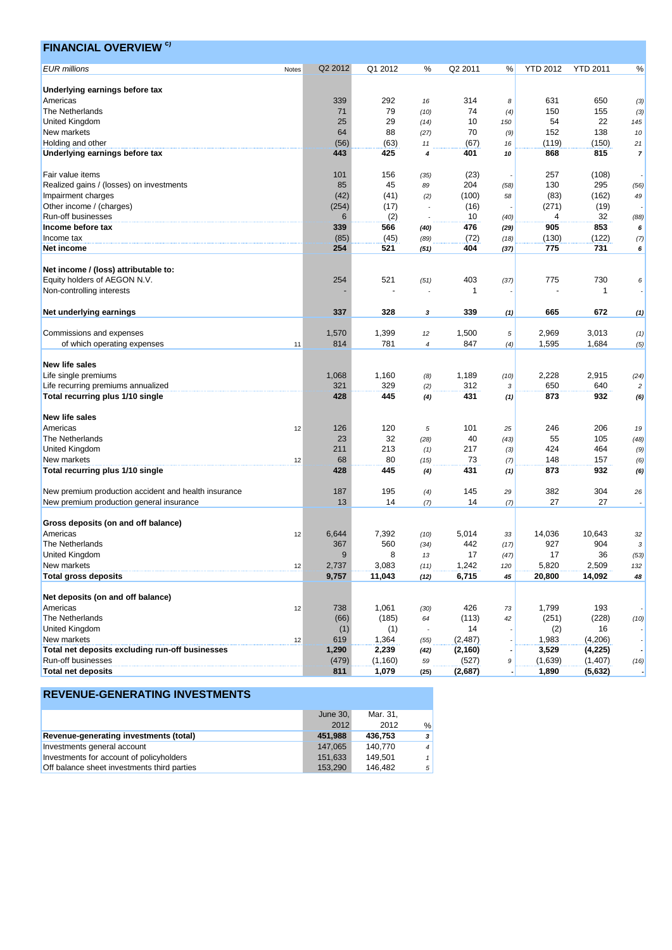| <b>EUR</b> millions<br>Notes                         | Q2 2012      | Q1 2012  | %            | Q2 2011      | %    | <b>YTD 2012</b> | <b>YTD 2011</b> | %                        |
|------------------------------------------------------|--------------|----------|--------------|--------------|------|-----------------|-----------------|--------------------------|
|                                                      |              |          |              |              |      |                 |                 |                          |
| Underlying earnings before tax                       |              |          |              |              |      |                 |                 |                          |
| Americas                                             | 339          | 292      | 16           | 314          | 8    | 631             | 650             | (3)                      |
| The Netherlands                                      | 71           | 79       | (10)         | 74           | (4)  | 150             | 155             | (3)                      |
| United Kingdom                                       | 25           | 29       | (14)         | 10           | 150  | 54              | 22              | 145                      |
| New markets                                          | 64           | 88       | (27)         | 70           | (9)  | 152             | 138             | 10                       |
| Holding and other                                    | (56)         | (63)     | 11           | (67)         | 16   | (119)           | (150)           | 21                       |
| Underlying earnings before tax                       | 443          | 425      | 4            | 401          | 10   | 868             | 815             | $\overline{7}$           |
| Fair value items                                     | 101          | 156      | (35)         | (23)         |      | 257             | (108)           |                          |
| Realized gains / (losses) on investments             | 85           | 45       | 89           | 204          | (58) | 130             | 295             | (56)                     |
| Impairment charges                                   | (42)         | (41)     | (2)          | (100)        | 58   | (83)            | (162)           | 49                       |
| Other income / (charges)                             | (254)        | (17)     |              | (16)         |      | (271)           | (19)            |                          |
| Run-off businesses                                   | 6            | (2)      |              | 10           | (40) | 4               | 32              | (88)                     |
| Income before tax                                    | 339          | 566      | (40)         | 476          | (29) | 905             | 853             | 6                        |
| Income tax                                           | (85)         | (45)     | (89)         | (72)         | (18) | (130)           | (122)           | (7)                      |
| Net income                                           | 254          | 521      | (51)         | 404          | (37) | 775             | 731             | 6                        |
|                                                      |              |          |              |              |      |                 |                 |                          |
| Net income / (loss) attributable to:                 |              |          |              |              |      |                 |                 |                          |
| Equity holders of AEGON N.V.                         | 254          | 521      | (51)         | 403          | (37) | 775             | 730             | 6                        |
| Non-controlling interests                            |              |          |              | 1            |      |                 | -1              |                          |
| Net underlying earnings                              | 337          | 328      | 3            | 339          | (1)  | 665             | 672             | (1)                      |
| Commissions and expenses                             |              |          |              |              |      |                 |                 |                          |
|                                                      | 1,570<br>814 | 1,399    | 12           | 1,500<br>847 | 5    | 2,969           | 3,013           | (1)                      |
| of which operating expenses                          | 11           | 781      | 4            |              | (4)  | 1,595           | 1,684           | (5)                      |
| New life sales                                       |              |          |              |              |      |                 |                 |                          |
| Life single premiums                                 | 1,068        | 1,160    | (8)          | 1,189        | (10) | 2,228           | 2,915           | (24)                     |
| Life recurring premiums annualized                   | 321          | 329      | (2)          | 312          | 3    | 650             | 640             | $\overline{c}$           |
| Total recurring plus 1/10 single                     | 428          | 445      | (4)          | 431          | (1)  | 873             | 932             | (6)                      |
|                                                      |              |          |              |              |      |                 |                 |                          |
| New life sales                                       |              |          |              |              |      |                 |                 |                          |
| Americas                                             | 126<br>12    | 120      | 5            | 101          | 25   | 246             | 206             | 19                       |
| The Netherlands                                      | 23           | 32       | (28)         | 40           | (43) | 55              | 105             | (48)                     |
| United Kingdom                                       | 211          | 213      | (1)          | 217          | (3)  | 424             | 464             | (9)                      |
| New markets                                          | 68<br>12     | 80       | (15)         | 73           | (7)  | 148             | 157             | (6)                      |
| Total recurring plus 1/10 single                     | 428          | 445      | (4)          | 431          | (1)  | 873             | 932             | (6)                      |
| New premium production accident and health insurance | 187          | 195      | (4)          | 145          | 29   | 382             | 304             | 26                       |
| New premium production general insurance             | 13           | 14       | (7)          | 14           | (7)  | 27              | 27              | $\overline{\phantom{a}}$ |
| Gross deposits (on and off balance)                  |              |          |              |              |      |                 |                 |                          |
| Americas                                             | 6,644<br>12  | 7,392    |              | 5,014        | 33   | 14,036          | 10,643          | 32                       |
| The Netherlands                                      | 367          | 560      | (10)<br>(34) | 442          |      | 927             | 904             | 3                        |
|                                                      | $\mathbf{Q}$ | 8        |              | 17           | (17) | 17              | 36              |                          |
| United Kingdom                                       | 2,737        | 3,083    | 13           | 1,242        | (47) | 5,820           | 2,509           | (53)                     |
| New markets                                          | 12           |          | (11)         |              | 120  |                 |                 | 132                      |
| <b>Total gross deposits</b>                          | 9,757        | 11,043   | (12)         | 6,715        | 45   | 20,800          | 14,092          | 48                       |
| Net deposits (on and off balance)                    |              |          |              |              |      |                 |                 |                          |
| Americas                                             | 738<br>12    | 1,061    | (30)         | 426          | 73   | 1,799           | 193             |                          |
| The Netherlands                                      | (66)         | (185)    | 64           | (113)        | 42   | (251)           | (228)           | (10)                     |
| United Kingdom                                       | (1)          | (1)      |              | 14           |      | (2)             | 16              |                          |
| New markets                                          | 619<br>12    | 1,364    | (55)         | (2, 487)     |      | 1,983           | (4,206)         |                          |
| Total net deposits excluding run-off businesses      | 1,290        | 2,239    | (42)         | (2, 160)     |      | 3,529           | (4,225)         |                          |
| Run-off businesses                                   | (479)        | (1, 160) | 59           | (527)        | 9    | (1,639)         | (1, 407)        | (16)                     |
| <b>Total net deposits</b>                            | 811          | 1,079    | (25)         | (2,687)      |      | 1,890           | (5,632)         |                          |

## **REVENUE-GENERATING INVESTMENTS**

**FINANCIAL OVERVIEW c)**

|                                             | June 30, | Mar. 31. |                  |
|---------------------------------------------|----------|----------|------------------|
|                                             | 2012     | 2012     | $\frac{0}{0}$    |
| Revenue-generating investments (total)      | 451.988  | 436.753  | 3                |
| Investments general account                 | 147.065  | 140.770  | $\boldsymbol{4}$ |
| Investments for account of policyholders    | 151.633  | 149.501  | $\mathbf{1}$     |
| Off balance sheet investments third parties | 153.290  | 146.482  | 5                |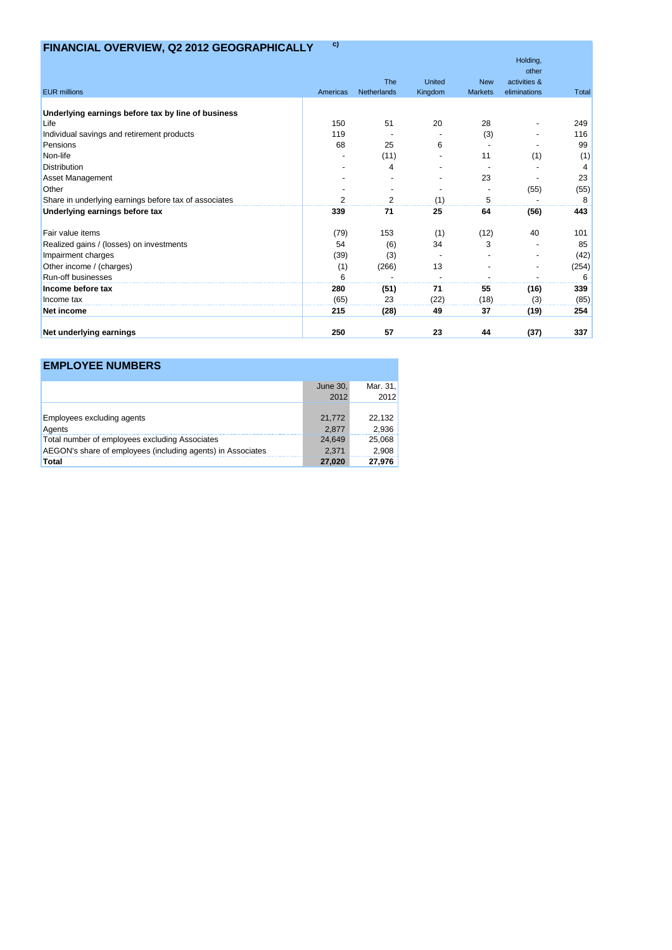# **FINANCIAL OVERVIEW, Q2 2012 GEOGRAPHICALLY c)**

|                                                       |          | The            | United  | <b>New</b>     | Holding,<br>other<br>activities & |       |
|-------------------------------------------------------|----------|----------------|---------|----------------|-----------------------------------|-------|
| <b>EUR millions</b>                                   | Americas | Netherlands    | Kingdom | <b>Markets</b> | eliminations                      | Total |
| Underlying earnings before tax by line of business    |          |                |         |                |                                   |       |
| Life                                                  | 150      | 51             | 20      | 28             |                                   | 249   |
| Individual savings and retirement products            | 119      |                |         | (3)            |                                   | 116   |
| Pensions                                              | 68       | 25             | 6       |                |                                   | 99    |
| Non-life                                              |          | (11)           |         | 11             | (1)                               | (1)   |
| <b>Distribution</b>                                   |          | 4              |         |                |                                   | 4     |
| Asset Management                                      |          |                |         | 23             |                                   | 23    |
| Other                                                 |          |                |         |                | (55)                              | (55)  |
| Share in underlying earnings before tax of associates | 2        | $\overline{2}$ | (1)     | 5              |                                   | 8     |
| Underlying earnings before tax                        | 339      | 71             | 25      | 64             | (56)                              | 443   |
| Fair value items                                      | (79)     | 153            | (1)     | (12)           | 40                                | 101   |
| Realized gains / (losses) on investments              | 54       | (6)            | 34      | 3              |                                   | 85    |
| Impairment charges                                    | (39)     | (3)            |         |                |                                   | (42)  |
| Other income / (charges)                              | (1)      | (266)          | 13      |                |                                   | (254) |
| Run-off businesses                                    |          |                |         |                |                                   | 6     |
| Income before tax                                     | 280      | (51)           | 71      | 55             | (16)                              | 339   |
| Income tax                                            | (65)     | 23             | (22)    | (18)           | (3)                               | (85)  |
| Net income                                            | 215      | (28)           | 49      | 37             | (19)                              | 254   |
| Net underlying earnings                               | 250      | 57             | 23      | 44             | (37)                              | 337   |

| <b>EMPLOYEE NUMBERS</b>                                     |          |          |
|-------------------------------------------------------------|----------|----------|
|                                                             | June 30, | Mar. 31, |
|                                                             | 2012     | 2012     |
|                                                             |          |          |
| Employees excluding agents                                  | 21,772   | 22,132   |
| Agents                                                      | 2,877    | 2,936    |
| Total number of employees excluding Associates              | 24,649   | 25,068   |
| AEGON's share of employees (including agents) in Associates | 2.371    | 2,908    |
| Total                                                       | 27,020   | 27,976   |
|                                                             |          |          |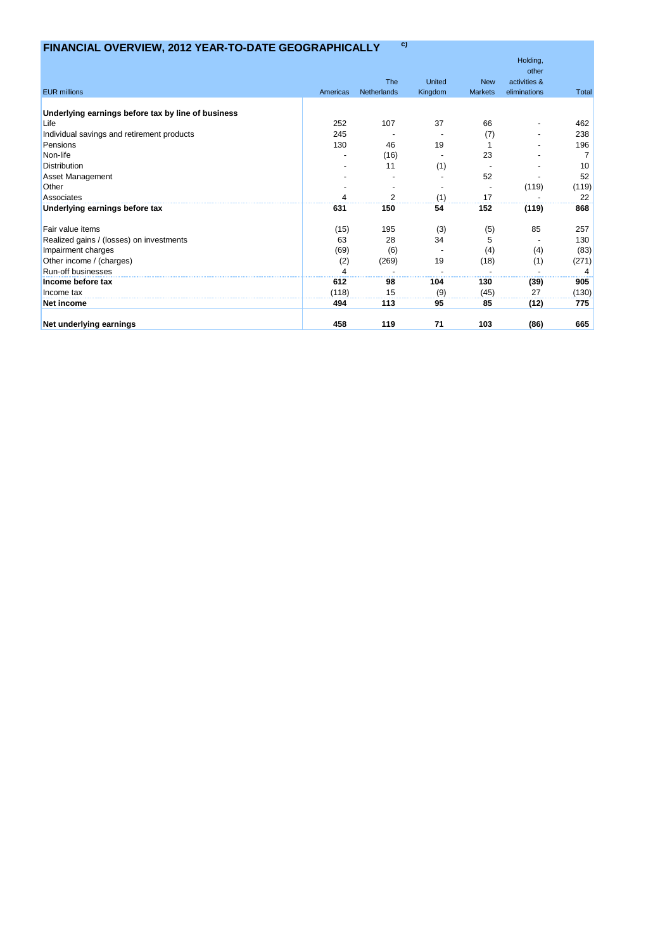# **FINANCIAL OVERVIEW, 2012 YEAR-TO-DATE GEOGRAPHICALLY c)**

|                                                    |          |                |         |                | Holding,     |                |
|----------------------------------------------------|----------|----------------|---------|----------------|--------------|----------------|
|                                                    |          |                |         |                | other        |                |
|                                                    |          | <b>The</b>     | United  | <b>New</b>     | activities & |                |
| <b>EUR millions</b>                                | Americas | Netherlands    | Kingdom | <b>Markets</b> | eliminations | <b>Total</b>   |
| Underlying earnings before tax by line of business |          |                |         |                |              |                |
| Life                                               | 252      | 107            | 37      | 66             |              | 462            |
| Individual savings and retirement products         | 245      |                |         | (7)            |              | 238            |
| Pensions                                           | 130      | 46             | 19      |                |              | 196            |
| Non-life                                           |          | (16)           |         | 23             |              | $\overline{7}$ |
| <b>Distribution</b>                                |          | 11             | (1)     |                |              | 10             |
| <b>Asset Management</b>                            |          |                |         | 52             |              | 52             |
| Other                                              |          |                |         |                | (119)        | (119)          |
| Associates                                         |          | $\overline{2}$ | (1)     | 17             |              | 22             |
| Underlying earnings before tax                     | 631      | 150            | 54      | 152            | (119)        | 868            |
| Fair value items                                   | (15)     | 195            | (3)     | (5)            | 85           | 257            |
| Realized gains / (losses) on investments           | 63       | 28             | 34      | 5              |              | 130            |
| Impairment charges                                 | (69)     | (6)            |         | (4)            | (4)          | (83)           |
| Other income / (charges)                           | (2)      | (269)          | 19      | (18)           | (1)          | (271)          |
| Run-off businesses                                 | 4        |                |         |                |              |                |
| Income before tax                                  | 612      | 98             | 104     | 130            | (39)         | 905            |
| Income tax                                         | (118)    | 15             | (9)     | (45)           | 27           | (130)          |
| Net income                                         | 494      | 113            | 95      | 85             | (12)         | 775            |
| Net underlying earnings                            | 458      | 119            | 71      | 103            | (86)         | 665            |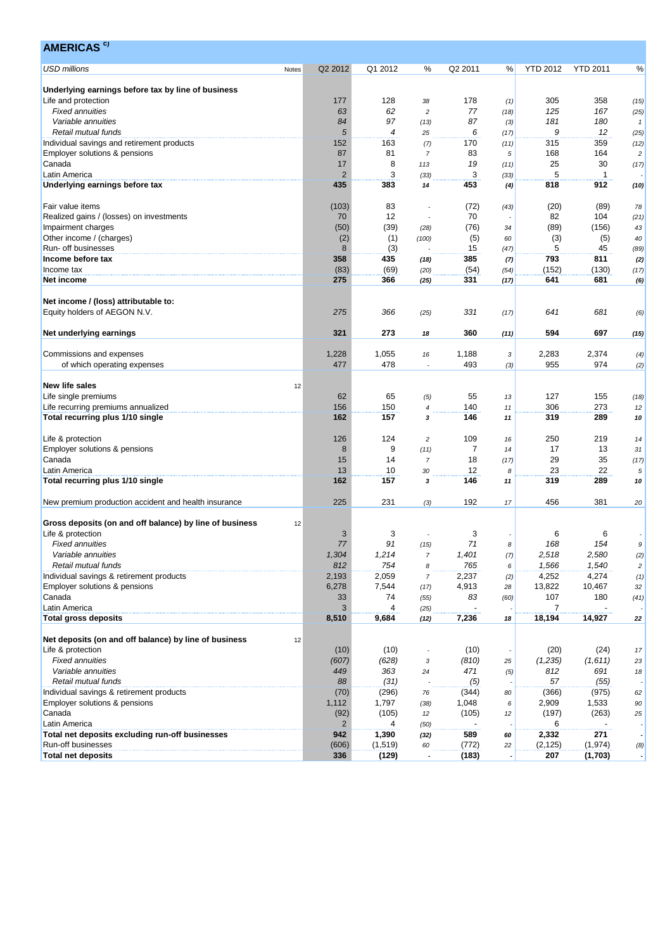| <b>AMERICAS<sup>C)</sup></b>                            |                  |          |                |                |                          |                 |                 |                          |
|---------------------------------------------------------|------------------|----------|----------------|----------------|--------------------------|-----------------|-----------------|--------------------------|
| <b>USD millions</b>                                     | Q2 2012<br>Notes | Q1 2012  | %              | Q2 2011        | %                        | <b>YTD 2012</b> | <b>YTD 2011</b> | %                        |
| Underlying earnings before tax by line of business      |                  |          |                |                |                          |                 |                 |                          |
| Life and protection                                     | 177              | 128      | 38             | 178            | (1)                      | 305             | 358             | (15)                     |
| <b>Fixed annuities</b>                                  | 63               | 62       | $\overline{c}$ | 77             | (18)                     | 125             | 167             | (25)                     |
| Variable annuities                                      | 84               | 97       | (13)           | 87             | (3)                      | 181             | 180             | $\mathbf{1}$             |
| Retail mutual funds                                     | 5                | 4        | 25             | 6              | (17)                     | 9               | 12              | (25)                     |
| Individual savings and retirement products              | 152              | 163      | (7)            | 170            | (11)                     | 315             | 359             | (12)                     |
| Employer solutions & pensions                           | 87               | 81       | $\overline{7}$ | 83             | 5                        | 168             | 164             | $\overline{\mathbf{c}}$  |
| Canada                                                  | 17               | 8        | 113            | 19             | (11)                     | 25              | 30              | (17)                     |
| Latin America                                           | $\overline{2}$   | 3        | (33)           | 3              | (33)                     | 5               | $\mathbf{1}$    |                          |
| Underlying earnings before tax                          | 435              | 383      | 14             | 453            | (4)                      | 818             | 912             | (10)                     |
| Fair value items                                        | (103)            | 83       |                | (72)           | (43)                     | (20)            | (89)            | 78                       |
| Realized gains / (losses) on investments                | 70               | 12       |                | 70             |                          | 82              | 104             | (21)                     |
| Impairment charges                                      | (50)             | (39)     | (28)           | (76)           | 34                       | (89)            | (156)           | 43                       |
| Other income / (charges)                                | (2)              | (1)      | (100)          | (5)            | 60                       | (3)             | (5)             | 40                       |
| Run- off businesses                                     | 8                | (3)      |                | 15             | (47)                     | 5               | 45              | (89)                     |
| Income before tax                                       | 358              | 435      | (18)           | 385            | (7)                      | 793             | 811             | (2)                      |
| Income tax                                              | (83)             | (69)     | (20)           | (54)           | (54)                     | (152)           | (130)           | (17)                     |
| Net income                                              | 275              | 366      | (25)           | 331            | (17)                     | 641             | 681             | (6)                      |
| Net income / (loss) attributable to:                    |                  |          |                |                |                          |                 |                 |                          |
| Equity holders of AEGON N.V.                            | 275              | 366      | (25)           | 331            | (17)                     | 641             | 681             | (6)                      |
| Net underlying earnings                                 | 321              | 273      | 18             | 360            | (11)                     | 594             | 697             | (15)                     |
| Commissions and expenses                                | 1,228            | 1,055    | 16             | 1,188          | 3                        | 2,283           | 2,374           | (4)                      |
| of which operating expenses                             | 477              | 478      |                | 493            | (3)                      | 955             | 974             | (2)                      |
| New life sales                                          | 12               |          |                |                |                          |                 |                 |                          |
| Life single premiums                                    | 62               | 65       | (5)            | 55             | 13                       | 127             | 155             | (18)                     |
| Life recurring premiums annualized                      | 156              | 150      | $\overline{4}$ | 140            | 11                       | 306             | 273             | 12                       |
| Total recurring plus 1/10 single                        | 162              | 157      | 3              | 146            | 11                       | 319             | 289             | 10                       |
| Life & protection                                       | 126              | 124      | $\overline{c}$ | 109            | 16                       | 250             | 219             | 14                       |
| Employer solutions & pensions                           | 8                | 9        | (11)           | $\overline{7}$ | 14                       | 17              | 13              | 31                       |
| Canada                                                  | 15               | 14       | $\overline{7}$ | 18             | (17)                     | 29              | 35              | (17)                     |
| Latin America                                           | 13               | 10       | 30             | 12             | 8                        | 23              | 22              | 5                        |
| Total recurring plus 1/10 single                        | 162              | 157      | з              | 146            | 11                       | 319             | 289             | 10                       |
| New premium production accident and health insurance    | 225              | 231      | (3)            | 192            | 17                       | 456             | 381             | 20                       |
| Gross deposits (on and off balance) by line of business | 12               |          |                |                |                          |                 |                 |                          |
| Life & protection                                       | 3                | 3        |                | 3              |                          | 6               | 6               |                          |
| <b>Fixed annuities</b>                                  | 77               | 91       | (15)           | 71             | 8                        | 168             | 154             | 9                        |
| Variable annuities                                      | 1,304            | 1,214    | $\overline{7}$ | 1,401          | (7)                      | 2,518           | 2,580           | (2)                      |
| Retail mutual funds                                     | 812              | 754      | 8              | 765            | 6                        | 1,566           | 1,540           | $\overline{c}$           |
| Individual savings & retirement products                | 2,193            | 2,059    | $\overline{7}$ | 2,237          | (2)                      | 4,252           | 4,274           | (1)                      |
| Employer solutions & pensions                           | 6,278            | 7,544    | (17)           | 4,913          | 28                       | 13,822          | 10,467          | 32                       |
| Canada                                                  | 33               | 74       | (55)           | 83             | (60)                     | 107             | 180             | (41)                     |
| Latin America                                           | 3                | 4        | (25)           |                |                          | $\overline{7}$  |                 |                          |
| <b>Total gross deposits</b>                             | 8,510            | 9,684    | (12)           | 7,236          | 18                       | 18,194          | 14,927          | 22                       |
| Net deposits (on and off balance) by line of business   | 12               |          |                |                |                          |                 |                 |                          |
| Life & protection                                       | (10)             | (10)     | ٠              | (10)           |                          | (20)            | (24)            | 17                       |
| <b>Fixed annuities</b>                                  | (607)            | (628)    | $\sqrt{3}$     | (810)          | 25                       | (1,235)         | (1,611)         | 23                       |
| Variable annuities                                      | 449              | 363      | 24             | 471            | (5)                      | 812             | 691             | 18                       |
| Retail mutual funds                                     | 88               | (31)     |                | (5)            |                          | 57              | (55)            |                          |
| Individual savings & retirement products                | (70)             | (296)    | 76             | (344)          | 80                       | (366)           | (975)           | 62                       |
| Employer solutions & pensions                           | 1,112            | 1,797    | (38)           | 1,048          | 6                        | 2,909           | 1,533           | 90                       |
| Canada                                                  | (92)             | (105)    | 12             | (105)          | 12                       | (197)           | (263)           | 25                       |
| Latin America                                           | $\overline{2}$   | 4        | (50)           |                |                          | 6               |                 |                          |
| Total net deposits excluding run-off businesses         | 942              | 1,390    | (32)           | 589            | 60                       | 2,332           | 271             | $\overline{\phantom{a}}$ |
| Run-off businesses                                      | (606)            | (1, 519) | 60             | (772)          | 22                       | (2, 125)        | (1, 974)        | (8)                      |
| <b>Total net deposits</b>                               | 336              | (129)    |                | (183)          | $\overline{\phantom{a}}$ | 207             | (1,703)         | $\overline{\phantom{a}}$ |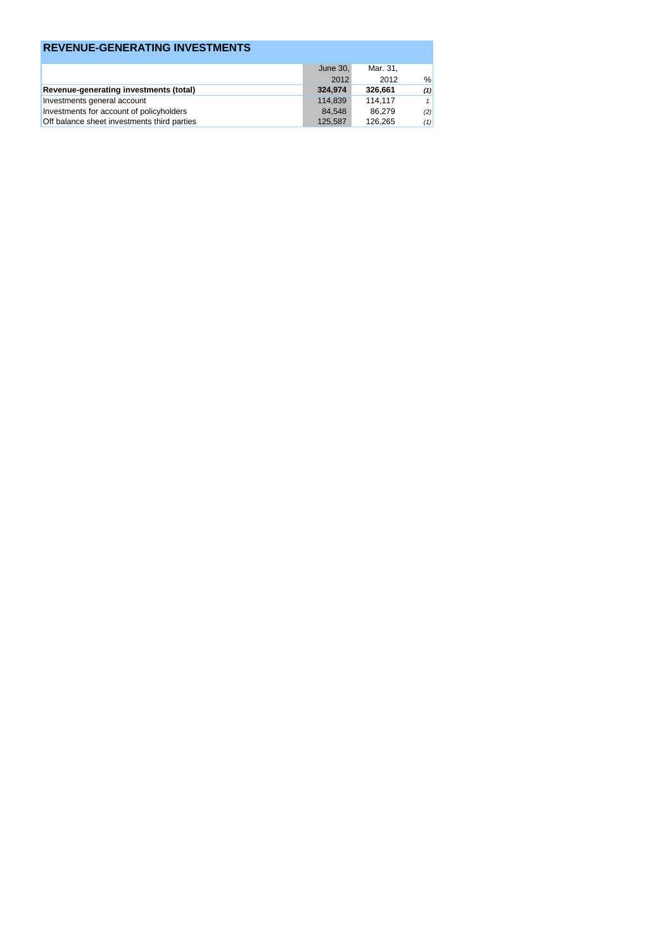| <b>REVENUE-GENERATING INVESTMENTS</b>       |          |          |     |
|---------------------------------------------|----------|----------|-----|
|                                             | June 30. | Mar. 31, |     |
|                                             | 2012     | 2012     | %   |
| Revenue-generating investments (total)      | 324.974  | 326.661  | (1) |
| Investments general account                 | 114.839  | 114.117  |     |
| Investments for account of policyholders    | 84.548   | 86.279   | (2) |
| Off balance sheet investments third parties | 125.587  | 126,265  | (1) |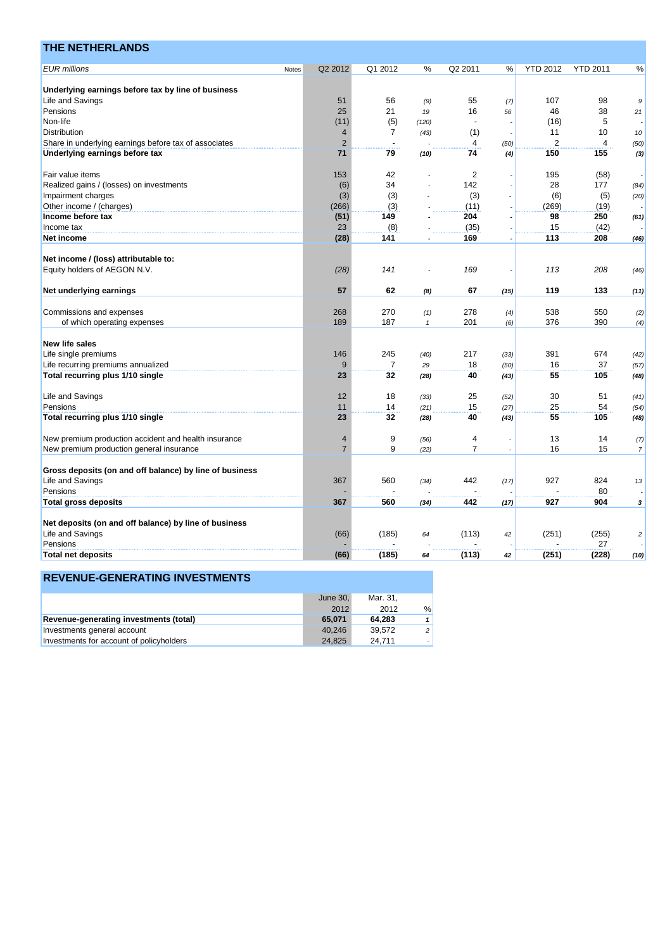| <b>THE NETHERLANDS</b>                                  |       |                |                |              |                     |      |                 |                 |                          |
|---------------------------------------------------------|-------|----------------|----------------|--------------|---------------------|------|-----------------|-----------------|--------------------------|
| <b>EUR</b> millions                                     | Notes | Q2 2012        | Q1 2012        | %            | Q2 2011             | %    | <b>YTD 2012</b> | <b>YTD 2011</b> | %                        |
|                                                         |       |                |                |              |                     |      |                 |                 |                          |
| Underlying earnings before tax by line of business      |       |                |                |              |                     |      |                 |                 |                          |
| Life and Savings                                        |       | 51             | 56             | (9)          | 55                  | (7)  | 107             | 98              | $\boldsymbol{9}$         |
| Pensions                                                |       | 25             | 21             | 19           | 16                  | 56   | 46              | 38              | 21                       |
| Non-life                                                |       | (11)           | (5)            | (120)        |                     |      | (16)            | 5               |                          |
| Distribution                                            |       | $\overline{4}$ | $\overline{7}$ | (43)         | (1)                 |      | 11              | 10              | 10                       |
| Share in underlying earnings before tax of associates   |       | $\overline{2}$ |                |              | $\overline{4}$      | (50) | $\overline{2}$  | $\overline{4}$  | (50)                     |
| Underlying earnings before tax                          |       | 71             | 79             | (10)         | 74                  | (4)  | 150             | 155             | (3)                      |
| Fair value items                                        |       | 153            | 42             |              | 2                   |      | 195             | (58)            |                          |
| Realized gains / (losses) on investments                |       | (6)            | 34             |              | 142                 |      | 28              | 177             | (84)                     |
| Impairment charges                                      |       | (3)            | (3)            |              | (3)                 |      | (6)             | (5)             | (20)                     |
| Other income / (charges)                                |       | (266)          | (3)            |              | (11)                |      | (269)           | (19)            |                          |
| Income before tax                                       |       | (51)           | 149            |              | 204                 |      | 98              | 250             | (61)                     |
| Income tax                                              |       | 23             | (8)            |              | (35)                |      | 15              | (42)            |                          |
| Net income                                              |       | (28)           | 141            |              | 169                 |      | 113             | 208             | (46)                     |
|                                                         |       |                |                |              |                     |      |                 |                 |                          |
| Net income / (loss) attributable to:                    |       |                |                |              |                     |      |                 |                 |                          |
| Equity holders of AEGON N.V.                            |       | (28)           | 141            |              | 169                 |      | 113             | 208             | (46)                     |
| Net underlying earnings                                 |       | 57             | 62             | (8)          | 67                  | (15) | 119             | 133             | (11)                     |
|                                                         |       |                |                |              |                     |      |                 |                 |                          |
| Commissions and expenses                                |       | 268            | 270            | (1)          | 278                 | (4)  | 538             | 550             | (2)                      |
| of which operating expenses                             |       | 189            | 187            | $\mathbf{1}$ | 201                 | (6)  | 376             | 390             | (4)                      |
|                                                         |       |                |                |              |                     |      |                 |                 |                          |
| New life sales                                          |       |                |                |              |                     |      |                 |                 |                          |
| Life single premiums                                    |       | 146            | 245            | (40)         | 217                 | (33) | 391             | 674             | (42)                     |
| Life recurring premiums annualized                      |       | 9              | $\overline{7}$ | 29           | 18                  | (50) | 16              | 37              | (57)                     |
| Total recurring plus 1/10 single                        |       | 23             | 32             | (28)         | 40                  | (43) | 55              | 105             | (48)                     |
| Life and Savings                                        |       | 12             | 18             | (33)         | 25                  | (52) | 30              | 51              | (41)                     |
| Pensions                                                |       | 11             | 14             | (21)         | 15                  | (27) | 25              | 54              | (54)                     |
| Total recurring plus 1/10 single                        |       | 23             | 32             | (28)         | 40                  | (43) | 55              | 105             | (48)                     |
|                                                         |       | $\overline{4}$ | 9              |              |                     |      | 13              | 14              |                          |
| New premium production accident and health insurance    |       | $\overline{7}$ | 9              | (56)         | 4<br>$\overline{7}$ |      |                 |                 | (7)                      |
| New premium production general insurance                |       |                |                | (22)         |                     | ÷    | 16              | 15              | $\overline{\phantom{a}}$ |
| Gross deposits (on and off balance) by line of business |       |                |                |              |                     |      |                 |                 |                          |
| Life and Savings                                        |       | 367            | 560            |              | 442                 | (17) | 927             | 824             | 13                       |
| Pensions                                                |       |                |                | (34)         |                     |      |                 | 80              |                          |
| <b>Total gross deposits</b>                             |       | 367            | 560            | (34)         | 442                 |      | 927             | 904             | з                        |
|                                                         |       |                |                |              |                     | (17) |                 |                 |                          |
| Net deposits (on and off balance) by line of business   |       |                |                |              |                     |      |                 |                 |                          |
| Life and Savings                                        |       | (66)           | (185)          | 64           | (113)               | 42   | (251)           | (255)           | $\sqrt{2}$               |
| Pensions                                                |       |                |                |              |                     |      |                 | 27              |                          |
| <b>Total net deposits</b>                               |       | (66)           | (185)          | 64           | (113)               | 42   | (251)           | (228)           | (10)                     |
|                                                         |       |                |                |              |                     |      |                 |                 |                          |
| <b>REVENUE-GENERATING INVESTMENTS</b>                   |       |                |                |              |                     |      |                 |                 |                          |

|                                          | June 30, | Mar. 31. |                |
|------------------------------------------|----------|----------|----------------|
|                                          | 2012     | 2012     | $\frac{0}{c}$  |
| Revenue-generating investments (total)   | 65.071   | 64.283   |                |
| Investments general account              | 40.246   | 39.572   | $\overline{2}$ |
| Investments for account of policyholders | 24.825   | 24.711   |                |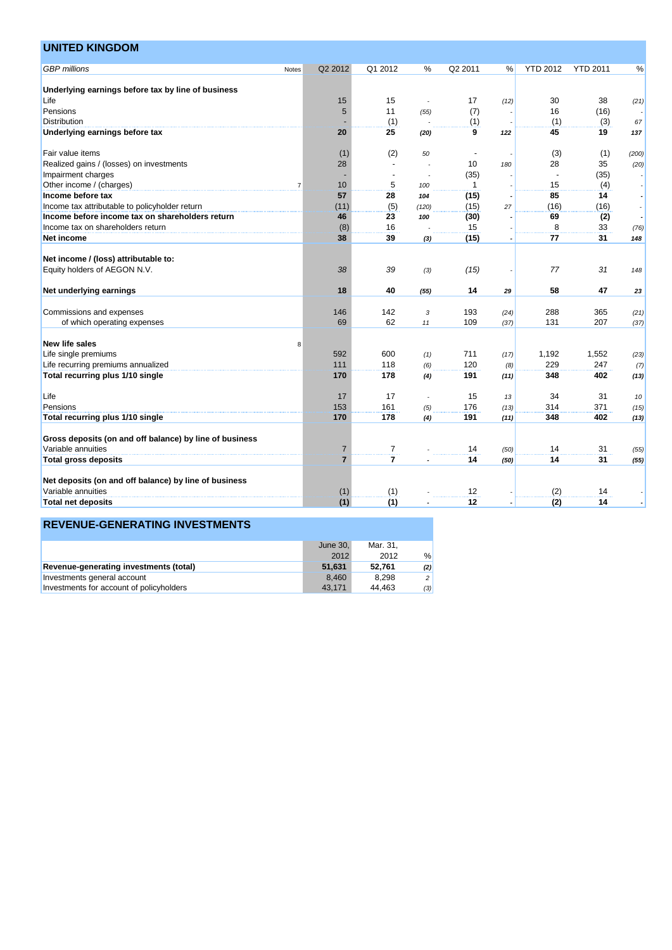| <b>UNITED KINGDOM</b>                                   |                |                |                  |       |                          |      |                 |                 |       |
|---------------------------------------------------------|----------------|----------------|------------------|-------|--------------------------|------|-----------------|-----------------|-------|
| <b>GBP</b> millions                                     | Notes          | Q2 2012        | Q1 2012          | %     | Q2 2011                  | %    | <b>YTD 2012</b> | <b>YTD 2011</b> | %     |
| Underlying earnings before tax by line of business      |                |                |                  |       |                          |      |                 |                 |       |
| Life                                                    |                | 15             | 15               |       | 17                       | (12) | 30              | 38              | (21)  |
| Pensions                                                |                | 5              | 11               | (55)  | (7)                      |      | 16              | (16)            |       |
| <b>Distribution</b>                                     |                |                | (1)              |       | (1)                      |      | (1)             | (3)             | 67    |
| Underlying earnings before tax                          |                | 20             | 25               | (20)  | 9                        | 122  | 45              | 19              | 137   |
| Fair value items                                        |                | (1)            | (2)              | 50    | $\overline{\phantom{a}}$ |      | (3)             | (1)             | (200) |
| Realized gains / (losses) on investments                |                | 28             | $\overline{a}$   |       | 10                       | 180  | 28              | 35              | (20)  |
| Impairment charges                                      |                |                |                  |       | (35)                     |      |                 | (35)            |       |
| Other income / (charges)                                | $\overline{7}$ | 10             | 5                | 100   | $\mathbf{1}$             |      | 15              | (4)             |       |
| Income before tax                                       |                | 57             | 28               | 104   | (15)                     |      | 85              | 14              |       |
| Income tax attributable to policyholder return          |                | (11)           | (5)              | (120) | (15)                     | 27   | (16)            | (16)            |       |
| Income before income tax on shareholders return         |                | 46             | 23               | 100   | (30)                     |      | 69              | (2)             |       |
| Income tax on shareholders return                       |                | (8)            | 16               |       | 15                       |      | 8               | 33              | (76)  |
| Net income                                              |                | 38             | 39               | (3)   | (15)                     |      | 77              | 31              | 148   |
| Net income / (loss) attributable to:                    |                |                |                  |       |                          |      |                 |                 |       |
| Equity holders of AEGON N.V.                            |                | 38             | 39               |       | (15)                     |      | 77              | 31              | 148   |
|                                                         |                |                |                  | (3)   |                          |      |                 |                 |       |
| Net underlying earnings                                 |                | 18             | 40               | (55)  | 14                       | 29   | 58              | 47              | 23    |
| Commissions and expenses                                |                | 146            | 142              | 3     | 193                      | (24) | 288             | 365             | (21)  |
| of which operating expenses                             |                | 69             | 62               | 11    | 109                      | (37) | 131             | 207             | (37)  |
| <b>New life sales</b>                                   | 8              |                |                  |       |                          |      |                 |                 |       |
| Life single premiums                                    |                | 592            | 600              | (1)   | 711                      | (17) | 1,192           | 1,552           | (23)  |
| Life recurring premiums annualized                      |                | 111            | 118              | (6)   | 120                      | (8)  | 229             | 247             | (7)   |
| Total recurring plus 1/10 single                        |                | 170            | 178              | (4)   | 191                      | (11) | 348             | 402             | (13)  |
| Life                                                    |                | 17             | 17               |       | 15                       | 13   | 34              | 31              | 10    |
| Pensions                                                |                | 153            | 161              | (5)   | 176                      | (13) | 314             | 371             | (15)  |
| Total recurring plus 1/10 single                        |                | 170            | 178              | (4)   | 191                      | (11) | 348             | 402             | (13)  |
| Gross deposits (on and off balance) by line of business |                |                |                  |       |                          |      |                 |                 |       |
| Variable annuities                                      |                | $\overline{7}$ |                  |       | 14                       | (50) | 14              | 31              | (55)  |
| <b>Total gross deposits</b>                             |                | $\overline{7}$ | $\frac{7}{7}$    |       | 14                       | (50) | 14              | 31              | (55)  |
|                                                         |                |                |                  |       |                          |      |                 |                 |       |
| Net deposits (on and off balance) by line of business   |                |                |                  |       |                          |      |                 |                 |       |
| Variable annuities                                      |                | (1)            | (1)              |       | 12                       |      | (2)             | 14              |       |
| <b>Total net deposits</b>                               |                | (1)            | $\overline{(1)}$ |       | 12                       |      | (2)             | 14              |       |

# **REVENUE-GENERATING INVESTMENTS**

|                                          | June 30. | Mar. 31. |                |
|------------------------------------------|----------|----------|----------------|
|                                          | 2012     | 2012     | $\frac{0}{0}$  |
| Revenue-generating investments (total)   | 51.631   | 52.761   | (2)            |
| Investments general account              | 8.460    | 8.298    | $\overline{2}$ |
| Investments for account of policyholders | 43.171   | 44.463   | (3)            |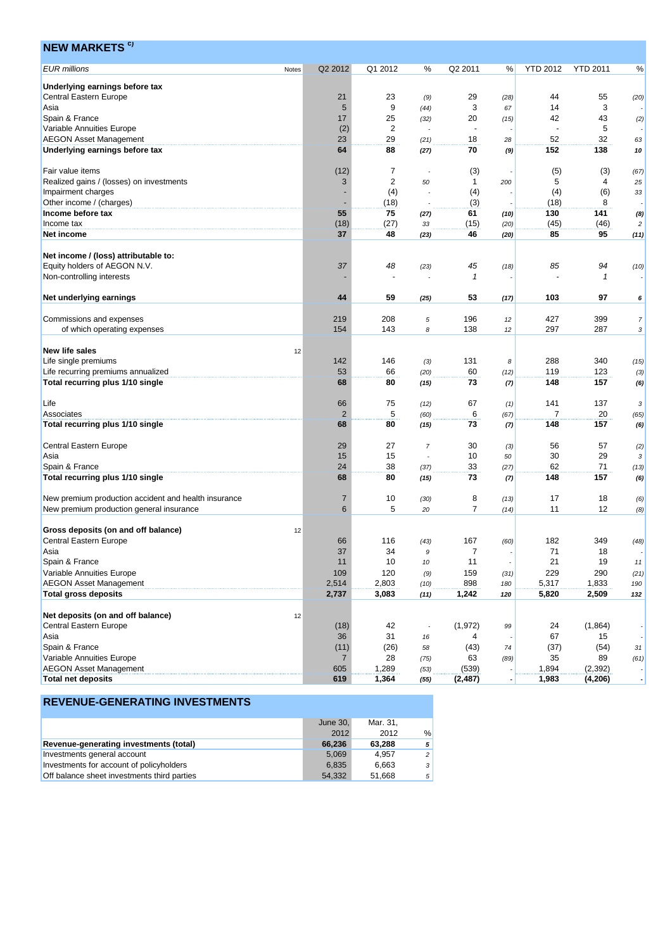| <b>NEW MARKETS <sup>c)</sup></b>                                |       |                |                |                |                |              |                 |                 |                       |
|-----------------------------------------------------------------|-------|----------------|----------------|----------------|----------------|--------------|-----------------|-----------------|-----------------------|
| <b>EUR</b> millions                                             | Notes | Q2 2012        | Q1 2012        | $\%$           | Q2 2011        | %            | <b>YTD 2012</b> | <b>YTD 2011</b> | %                     |
| Underlying earnings before tax                                  |       |                |                |                |                |              |                 |                 |                       |
| <b>Central Eastern Europe</b>                                   |       | 21             | 23             | (9)            | 29             | (28)         | 44              | 55              | (20)                  |
| Asia                                                            |       | 5              | 9              | (44)           | 3              | 67           | 14              | 3               |                       |
| Spain & France                                                  |       | 17             | 25             | (32)           | 20             | (15)         | 42              | 43              | (2)                   |
| Variable Annuities Europe                                       |       | (2)            | $\overline{2}$ |                |                |              | 52              | 5<br>32         |                       |
| <b>AEGON Asset Management</b><br>Underlying earnings before tax |       | 23<br>64       | 29<br>88       | (21)<br>(27)   | 18<br>70       | 28<br>(9)    | 152             | 138             | 63<br>10              |
|                                                                 |       |                |                |                |                |              |                 |                 |                       |
| Fair value items                                                |       | (12)           | 7              |                | (3)            |              | (5)             | (3)             | (67)                  |
| Realized gains / (losses) on investments                        |       | 3              | $\overline{c}$ | 50             | $\mathbf{1}$   | 200          | 5               | 4               | 25                    |
| Impairment charges                                              |       |                | (4)            |                | (4)            |              | (4)             | (6)             | 33                    |
| Other income / (charges)                                        |       | 55             | (18)<br>75     |                | (3)            |              | (18)            | 8               |                       |
| Income before tax<br>Income tax                                 |       | (18)           | (27)           | (27)<br>33     | 61<br>(15)     | (10)<br>(20) | 130<br>(45)     | 141<br>(46)     | (8)<br>$\overline{c}$ |
| Net income                                                      |       | 37             | 48             | (23)           | 46             | (20)         | 85              | 95              | (11)                  |
|                                                                 |       |                |                |                |                |              |                 |                 |                       |
| Net income / (loss) attributable to:                            |       |                |                |                |                |              |                 |                 |                       |
| Equity holders of AEGON N.V.                                    |       | 37             | 48             | (23)           | 45             | (18)         | 85              | 94              | (10)                  |
| Non-controlling interests                                       |       |                |                |                | $\mathbf{1}$   |              |                 | 1               |                       |
| Net underlying earnings                                         |       | 44             | 59             | (25)           | 53             | (17)         | 103             | 97              | 6                     |
|                                                                 |       |                |                |                |                |              |                 |                 |                       |
| Commissions and expenses<br>of which operating expenses         |       | 219<br>154     | 208<br>143     | 5<br>8         | 196<br>138     | 12<br>12     | 427<br>297      | 399<br>287      | $\boldsymbol{7}$<br>3 |
|                                                                 |       |                |                |                |                |              |                 |                 |                       |
| <b>New life sales</b>                                           | 12    |                |                |                |                |              |                 |                 |                       |
| Life single premiums                                            |       | 142            | 146            | (3)            | 131            | 8            | 288             | 340             | (15)                  |
| Life recurring premiums annualized                              |       | 53             | 66             | (20)           | 60             | (12)         | 119             | 123             | (3)                   |
| Total recurring plus 1/10 single                                |       | 68             | 80             | (15)           | 73             | (7)          | 148             | 157             | (6)                   |
| Life                                                            |       | 66             | 75             | (12)           | 67             | (1)          | 141             | 137             | 3                     |
| Associates                                                      |       | $\overline{2}$ | 5              | (60)           | 6              | (67)         | 7               | 20              | (65)                  |
| Total recurring plus 1/10 single                                |       | 68             | 80             | (15)           | 73             | (7)          | 148             | 157             | (6)                   |
|                                                                 |       |                |                |                |                |              |                 |                 |                       |
| Central Eastern Europe                                          |       | 29             | 27             | $\overline{7}$ | 30             | (3)          | 56              | 57              | (2)                   |
| Asia                                                            |       | 15<br>24       | 15<br>38       |                | 10<br>33       | 50           | 30<br>62        | 29<br>71        | $\sqrt{3}$            |
| Spain & France<br>Total recurring plus 1/10 single              |       | 68             | 80             | (37)<br>(15)   | 73             | (27)<br>(7)  | 148             | 157             | (13)<br>(6)           |
|                                                                 |       |                |                |                |                |              |                 |                 |                       |
| New premium production accident and health insurance            |       | $\overline{7}$ | 10             | (30)           | 8              | (13)         | 17              | 18              | (6)                   |
| New premium production general insurance                        |       | 6              | 5              | 20             | 7              | (14)         | 11              | 12              | (8)                   |
|                                                                 |       |                |                |                |                |              |                 |                 |                       |
| Gross deposits (on and off balance)                             | 12    | 66             | 116            |                | 167            |              | 182             | 349             |                       |
| Central Eastern Europe<br>Asia                                  |       | 37             | 34             | (43)<br>9      | $\overline{7}$ | (60)         | 71              | 18              | (48)                  |
| Spain & France                                                  |       | 11             | 10             | 10             | 11             |              | 21              | 19              | 11                    |
| Variable Annuities Europe                                       |       | 109            | 120            | (9)            | 159            | (31)         | 229             | 290             | (21)                  |
| <b>AEGON Asset Management</b>                                   |       | 2,514          | 2,803          | (10)           | 898            | 180          | 5,317           | 1,833           | 190                   |
| <b>Total gross deposits</b>                                     |       | 2,737          | 3,083          | (11)           | 1,242          | 120          | 5,820           | 2,509           | 132                   |
|                                                                 |       |                |                |                |                |              |                 |                 |                       |
| Net deposits (on and off balance)                               | 12    |                |                |                |                |              |                 |                 |                       |
| Central Eastern Europe<br>Asia                                  |       | (18)<br>36     | 42<br>31       |                | (1, 972)<br>4  | 99           | 24<br>67        | (1,864)<br>15   |                       |
| Spain & France                                                  |       | (11)           | (26)           | 16<br>58       | (43)           | 74           | (37)            | (54)            | 31                    |
| Variable Annuities Europe                                       |       | $\overline{7}$ | 28             | (75)           | 63             | (89)         | 35              | 89              | (61)                  |
| <b>AEGON Asset Management</b>                                   |       | 605            | 1,289          | (53)           | (539)          |              | 1,894           | (2, 392)        |                       |
| <b>Total net deposits</b>                                       |       | 619            | 1,364          | (55)           | (2, 487)       |              | 1,983           | (4, 206)        |                       |

# **REVENUE-GENERATING INVESTMENTS**

|                                             | June 30, | Mar. 31. |                |
|---------------------------------------------|----------|----------|----------------|
|                                             | 2012     | 2012     | $\frac{0}{0}$  |
| Revenue-generating investments (total)      | 66.236   | 63.288   | 5              |
| Investments general account                 | 5.069    | 4.957    | $\overline{2}$ |
| Investments for account of policyholders    | 6.835    | 6.663    | $\cdot$ 3      |
| Off balance sheet investments third parties | 54.332   | 51.668   | -5             |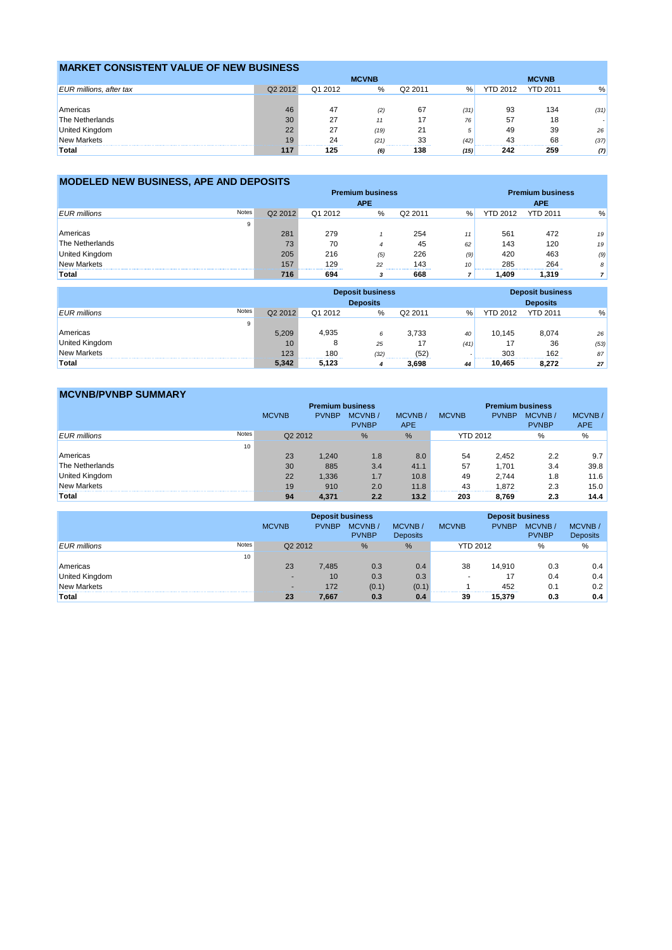| <b>MARKET CONSISTENT VALUE OF NEW BUSINESS</b> |                     |         |              |         |      |                 |                 |      |  |
|------------------------------------------------|---------------------|---------|--------------|---------|------|-----------------|-----------------|------|--|
|                                                |                     |         | <b>MCVNB</b> |         |      |                 | <b>MCVNB</b>    |      |  |
| <b>EUR</b> millions, after tax                 | Q <sub>2</sub> 2012 | Q1 2012 | %            | Q2 2011 | $\%$ | <b>YTD 2012</b> | <b>YTD 2011</b> | %    |  |
|                                                |                     |         |              |         |      |                 |                 |      |  |
| Americas                                       | 46                  | 47      | (2)          | 67      | (31) | 93              | 134             | (31) |  |
| The Netherlands                                | 30                  | 27      | 11           | 17      | 76   | 57              | 18              |      |  |
| United Kingdom                                 | 22                  | 27      | (19)         | 21      |      | 49              | 39              | 26   |  |
| New Markets                                    | 19                  | 24<br>  | (21)         | 33<br>  | (42) | 43<br>--------  | 68<br>          | (37) |  |
| Total                                          |                     | 125     | (6)          | 138     | (15) | 242             | 259             | (7)  |  |

# **MODELED NEW BUSINESS, APE AND DEPOSITS**

|                              |         | <b>Premium business</b> | <b>Premium business</b> |         |            |                 |                 |     |
|------------------------------|---------|-------------------------|-------------------------|---------|------------|-----------------|-----------------|-----|
|                              |         |                         | <b>APE</b>              |         | <b>APE</b> |                 |                 |     |
| Notes<br><b>EUR</b> millions | Q2 2012 | Q1 2012                 | %                       | Q2 2011 | $\%$       | <b>YTD 2012</b> | <b>YTD 2011</b> | %   |
| 9                            |         |                         |                         |         |            |                 |                 |     |
| Americas                     | 281     | 279                     |                         | 254     |            | 561             | 472             | 19  |
| The Netherlands              | 73      | 70                      |                         | 45      | 62         | 143             | 120             | 19  |
| United Kingdom               | 205     | 216                     | (5)                     | 226     | (9)        | 420             | 463             | (9) |
| <b>New Markets</b>           | 157     | 129<br>                 | 22                      | 143<br> | 10         | 285             | 264             | 8   |
| Total                        | 716     | 694                     |                         | 668     |            | 409, ا          | 1.319           |     |

|                                     |                     | <b>Deposit business</b> | <b>Deposit business</b><br><b>Deposits</b> |         |      |                 |                 |      |
|-------------------------------------|---------------------|-------------------------|--------------------------------------------|---------|------|-----------------|-----------------|------|
| <b>Notes</b><br><b>EUR</b> millions | Q <sub>2</sub> 2012 | Q1 2012                 | %                                          | Q2 2011 | %    | <b>YTD 2012</b> | <b>YTD 2011</b> | %    |
|                                     |                     |                         |                                            |         |      |                 |                 |      |
| Americas                            | 5,209               | 4.935                   | 6                                          | 3.733   | 40   | 10.145          | 8,074           | 26   |
| United Kingdom                      | 10                  |                         | 25                                         | 17      | (41) |                 | 36              | (53) |
| <b>New Markets</b>                  | 123                 | 180<br>                 | (32)                                       | (52<br> |      | 303             | 162             | 87   |
| Total                               | 5,342               | 5.123                   |                                            | 3.698   | 44   | 10.465          | 8.272           | 27   |

| <b>MCVNB/PVNBP SUMMARY</b>          |                     |                         |                        |                      |                 |              |                        |                      |
|-------------------------------------|---------------------|-------------------------|------------------------|----------------------|-----------------|--------------|------------------------|----------------------|
|                                     |                     | <b>Premium business</b> |                        |                      |                 |              |                        |                      |
|                                     | <b>MCVNB</b>        | <b>PVNBP</b>            | MCVNB/<br><b>PVNBP</b> | MCVNB/<br><b>APE</b> | <b>MCVNB</b>    | <b>PVNBP</b> | MCVNB/<br><b>PVNBP</b> | MCVNB/<br><b>APE</b> |
| <b>Notes</b><br><b>EUR</b> millions | Q <sub>2</sub> 2012 |                         | $\%$                   | %                    | <b>YTD 2012</b> |              | %                      | %                    |
|                                     | 10                  |                         |                        |                      |                 |              |                        |                      |
| Americas                            | 23                  | 1.240                   | 1.8                    | 8.0                  | 54              | 2.452        | 2.2                    | 9.7                  |
| The Netherlands                     | 30                  | 885                     | 3.4                    | 41.1                 | 57              | 1.701        | 3.4                    | 39.8                 |
| <b>United Kingdom</b>               | 22                  | 1.336                   | 1.7                    | 10.8                 | 49              | 2.744        | 1.8                    | 11.6                 |
| <b>New Markets</b>                  | 19                  | 910                     | 2.0                    | 11.8                 | 43              | 1.872        | 2.3                    | 15.0                 |
| Total                               | 94                  | 4.371                   | 2.2                    | 13.2                 | 203             | 8.769        | 2.3                    | 14.4                 |

|                                     | <b>Deposit business</b> |              |                        |                           | <b>Deposit business</b> |              |                        |                           |
|-------------------------------------|-------------------------|--------------|------------------------|---------------------------|-------------------------|--------------|------------------------|---------------------------|
|                                     | <b>MCVNB</b>            | <b>PVNBP</b> | MCVNB/<br><b>PVNBP</b> | MCVNB/<br><b>Deposits</b> | <b>MCVNB</b>            | <b>PVNBP</b> | MCVNB/<br><b>PVNBP</b> | MCVNB/<br><b>Deposits</b> |
| <b>Notes</b><br><b>EUR</b> millions | Q <sub>2</sub> 2012     |              | %                      | %                         | <b>YTD 2012</b>         |              | %                      | %                         |
| 10                                  |                         |              |                        |                           |                         |              |                        |                           |
| Americas                            | 23                      | 7.485        | 0.3                    | 0.4                       | 38                      | 14.910       | 0.3                    | 0.4                       |
| <b>United Kingdom</b>               |                         | 10           | 0.3                    | 0.3                       |                         |              | 0.4                    | 0.4                       |
| <b>New Markets</b>                  |                         | 172          | (0.1)                  |                           |                         | 452          | 0.1                    | 0.2                       |
| Total                               | 23                      | 7.667        | 0.3                    | 0.4                       | 39                      | 15.379       | 0.3                    | 0.4                       |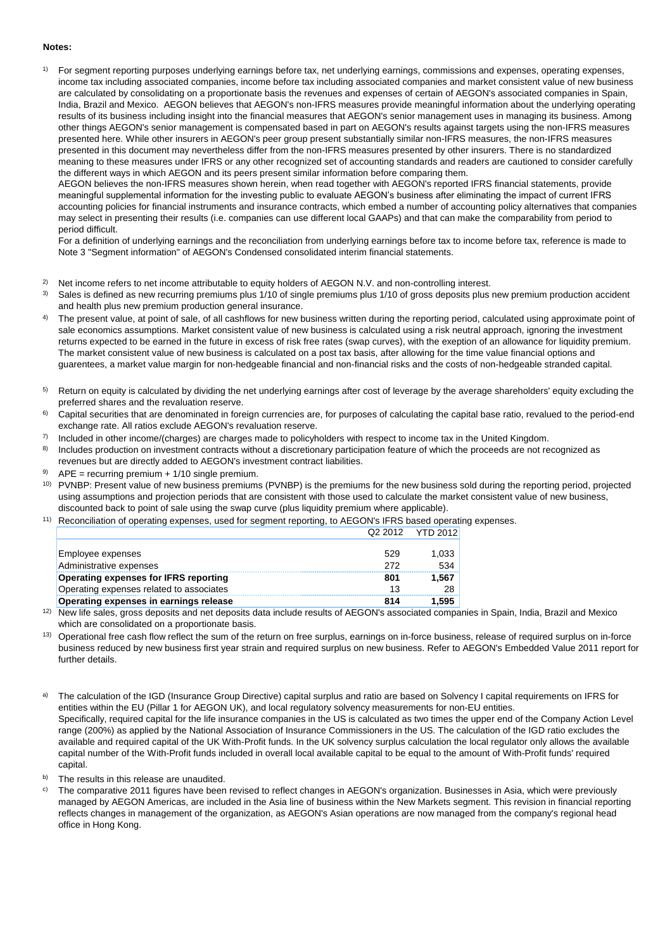### **Notes:**

1) For segment reporting purposes underlying earnings before tax, net underlying earnings, commissions and expenses, operating expenses, income tax including associated companies, income before tax including associated companies and market consistent value of new business are calculated by consolidating on a proportionate basis the revenues and expenses of certain of AEGON's associated companies in Spain, India, Brazil and Mexico. AEGON believes that AEGON's non-IFRS measures provide meaningful information about the underlying operating results of its business including insight into the financial measures that AEGON's senior management uses in managing its business. Among other things AEGON's senior management is compensated based in part on AEGON's results against targets using the non-IFRS measures presented here. While other insurers in AEGON's peer group present substantially similar non-IFRS measures, the non-IFRS measures presented in this document may nevertheless differ from the non-IFRS measures presented by other insurers. There is no standardized meaning to these measures under IFRS or any other recognized set of accounting standards and readers are cautioned to consider carefully the different ways in which AEGON and its peers present similar information before comparing them.

AEGON believes the non-IFRS measures shown herein, when read together with AEGON's reported IFRS financial statements, provide meaningful supplemental information for the investing public to evaluate AEGON's business after eliminating the impact of current IFRS accounting policies for financial instruments and insurance contracts, which embed a number of accounting policy alternatives that companies may select in presenting their results (i.e. companies can use different local GAAPs) and that can make the comparability from period to period difficult.

For a definition of underlying earnings and the reconciliation from underlying earnings before tax to income before tax, reference is made to Note 3 "Segment information" of AEGON's Condensed consolidated interim financial statements.

- 2) Net income refers to net income attributable to equity holders of AEGON N.V. and non-controlling interest.
- 3) Sales is defined as new recurring premiums plus 1/10 of single premiums plus 1/10 of gross deposits plus new premium production accident and health plus new premium production general insurance.
- 4) The present value, at point of sale, of all cashflows for new business written during the reporting period, calculated using approximate point of sale economics assumptions. Market consistent value of new business is calculated using a risk neutral approach, ignoring the investment returns expected to be earned in the future in excess of risk free rates (swap curves), with the exeption of an allowance for liquidity premium. The market consistent value of new business is calculated on a post tax basis, after allowing for the time value financial options and guarentees, a market value margin for non-hedgeable financial and non-financial risks and the costs of non-hedgeable stranded capital.
- 5) Return on equity is calculated by dividing the net underlying earnings after cost of leverage by the average shareholders' equity excluding the preferred shares and the revaluation reserve.
- 6) Capital securities that are denominated in foreign currencies are, for purposes of calculating the capital base ratio, revalued to the period-end exchange rate. All ratios exclude AEGON's revaluation reserve.
- 7) Included in other income/(charges) are charges made to policyholders with respect to income tax in the United Kingdom.
- 8) Includes production on investment contracts without a discretionary participation feature of which the proceeds are not recognized as revenues but are directly added to AEGON's investment contract liabilities.
- 9) APE = recurring premium + 1/10 single premium.
- <sup>10)</sup> PVNBP: Present value of new business premiums (PVNBP) is the premiums for the new business sold during the reporting period, projected using assumptions and projection periods that are consistent with those used to calculate the market consistent value of new business, discounted back to point of sale using the swap curve (plus liquidity premium where applicable).
- 11) Reconciliation of operating expenses, used for segment reporting, to AEGON's IFRS based operating expenses.

|                                              |            | Q2 2012 YTD 2012 |
|----------------------------------------------|------------|------------------|
|                                              |            |                  |
| Employee expenses                            | 529        | 1,033            |
| Administrative expenses                      | 272        | 534              |
| <b>Operating expenses for IFRS reporting</b> | 801        | 1.567            |
| Operating expenses related to associates     | 13         | 28               |
| Operating expenses in earnings release       | <b>814</b> | .595             |

<sup>12)</sup> New life sales, gross deposits and net deposits data include results of AEGON's associated companies in Spain, India, Brazil and Mexico which are consolidated on a proportionate basis.

<sup>13)</sup> Operational free cash flow reflect the sum of the return on free surplus, earnings on in-force business, release of required surplus on in-force business reduced by new business first year strain and required surplus on new business. Refer to AEGON's Embedded Value 2011 report for further details.

a) The calculation of the IGD (Insurance Group Directive) capital surplus and ratio are based on Solvency I capital requirements on IFRS for entities within the EU (Pillar 1 for AEGON UK), and local regulatory solvency measurements for non-EU entities. Specifically, required capital for the life insurance companies in the US is calculated as two times the upper end of the Company Action Level range (200%) as applied by the National Association of Insurance Commissioners in the US. The calculation of the IGD ratio excludes the available and required capital of the UK With-Profit funds. In the UK solvency surplus calculation the local regulator only allows the available capital number of the With-Profit funds included in overall local available capital to be equal to the amount of With-Profit funds' required capital.

b) The results in this release are unaudited.

c) The comparative 2011 figures have been revised to reflect changes in AEGON's organization. Businesses in Asia, which were previously managed by AEGON Americas, are included in the Asia line of business within the New Markets segment. This revision in financial reporting reflects changes in management of the organization, as AEGON's Asian operations are now managed from the company's regional head office in Hong Kong.